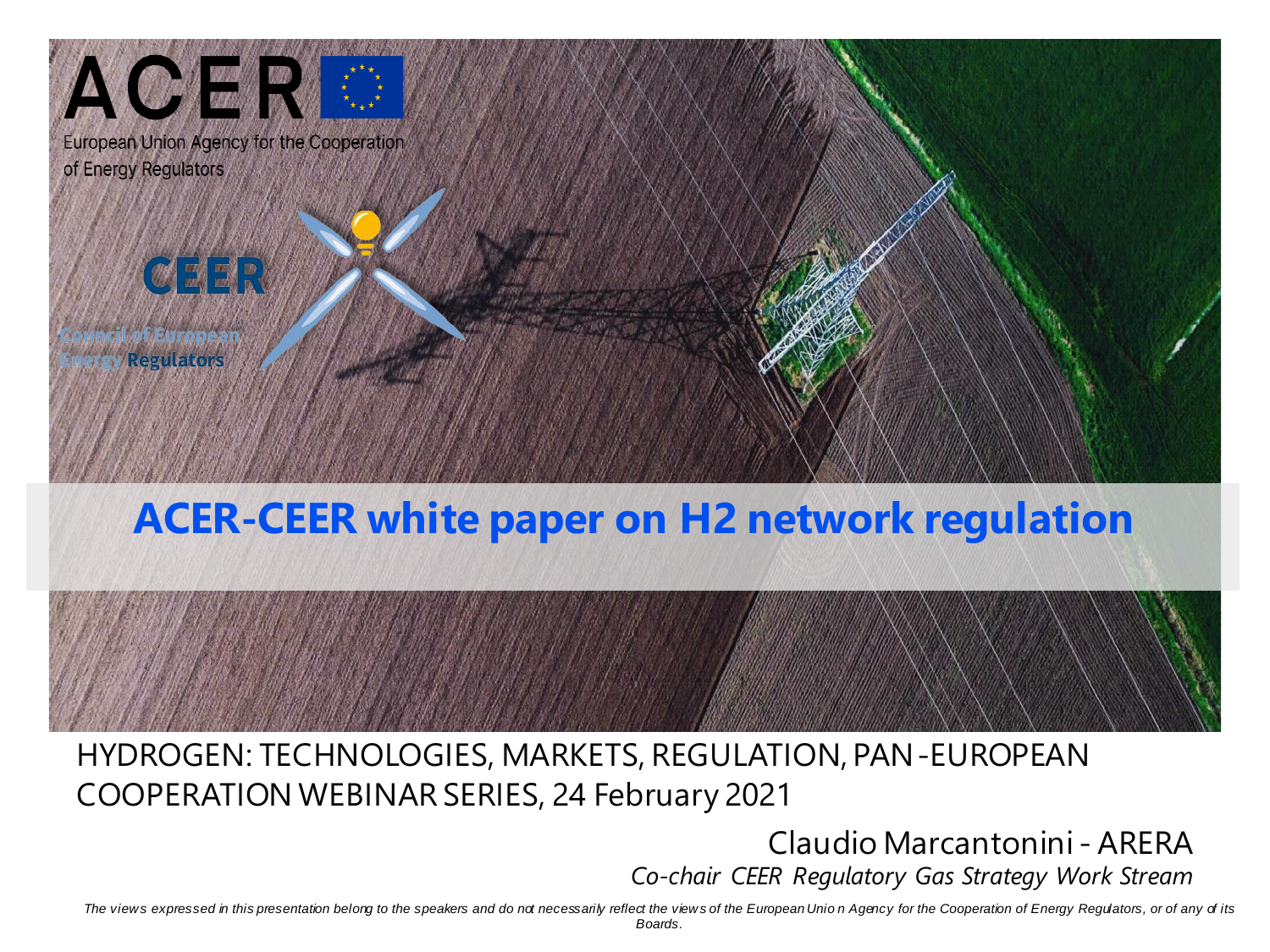

## **ACER-CEER white paper on H2 network regulation**



## HYDROGEN: TECHNOLOGIES, MARKETS, REGULATION, PAN-EUROPEAN COOPERATION WEBINAR SERIES, 24 February 2021

## Claudio Marcantonini - ARERA *Co-chair CEER Regulatory Gas Strategy Work Stream*

The views expressed in this presentation belorg to the speakers and do not necessarily reflect the views of the European Unio n Agency for the Cooperation of Energy Regulators, or of any of its *Boards.*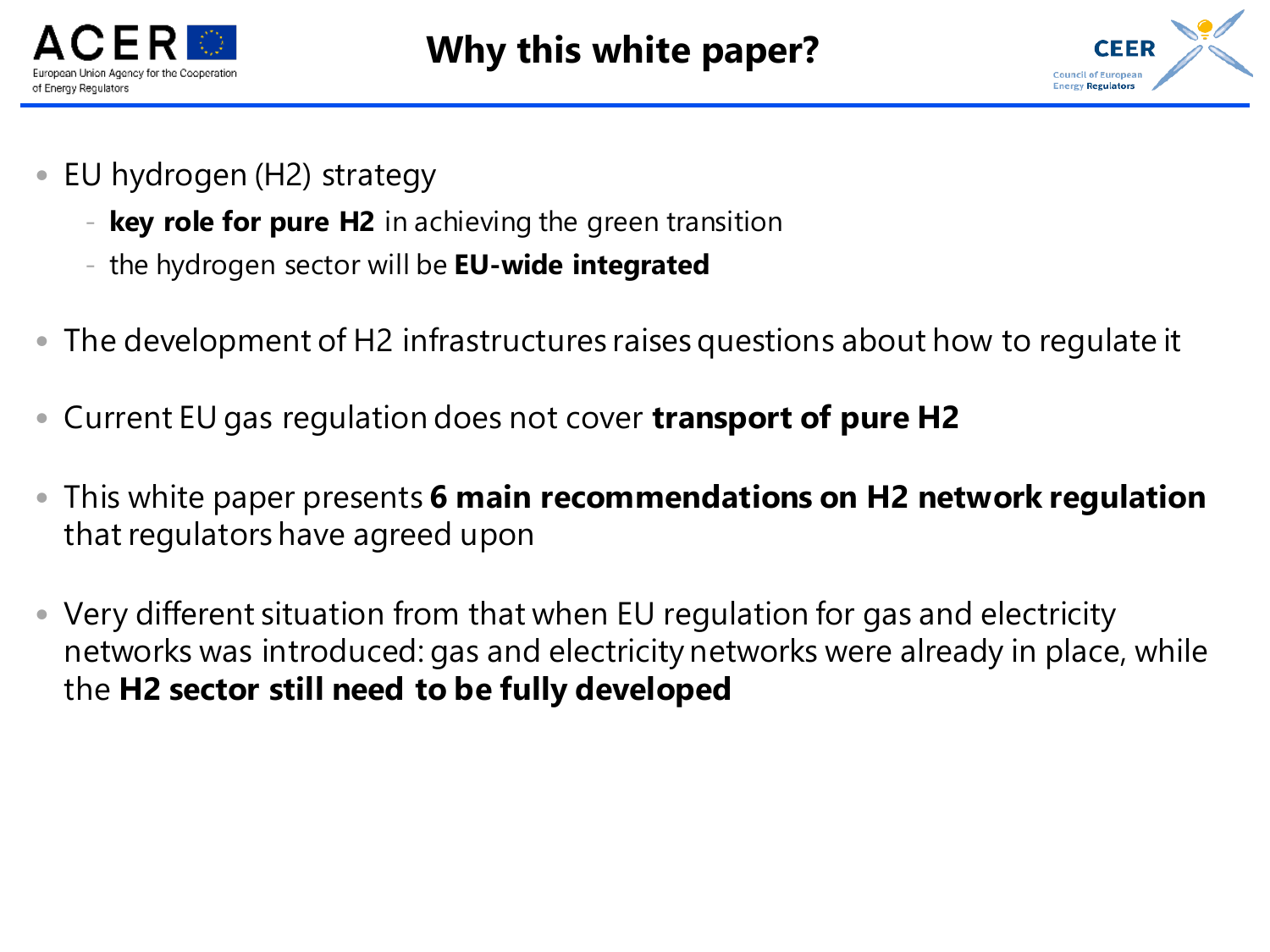



- EU hydrogen (H2) strategy
	- **key role for pure H2** in achieving the green transition
	- the hydrogen sector will be **EU-wide integrated**
- The development of H2 infrastructures raises questions about how to regulate it
- Current EU gas regulation does not cover **transport of pure H2**
- This white paper presents **6 main recommendations on H2 network regulation**  that regulators have agreed upon
- Very different situation from that when EU regulation for gas and electricity networks was introduced: gas and electricity networks were already in place, while the **H2 sector still need to be fully developed**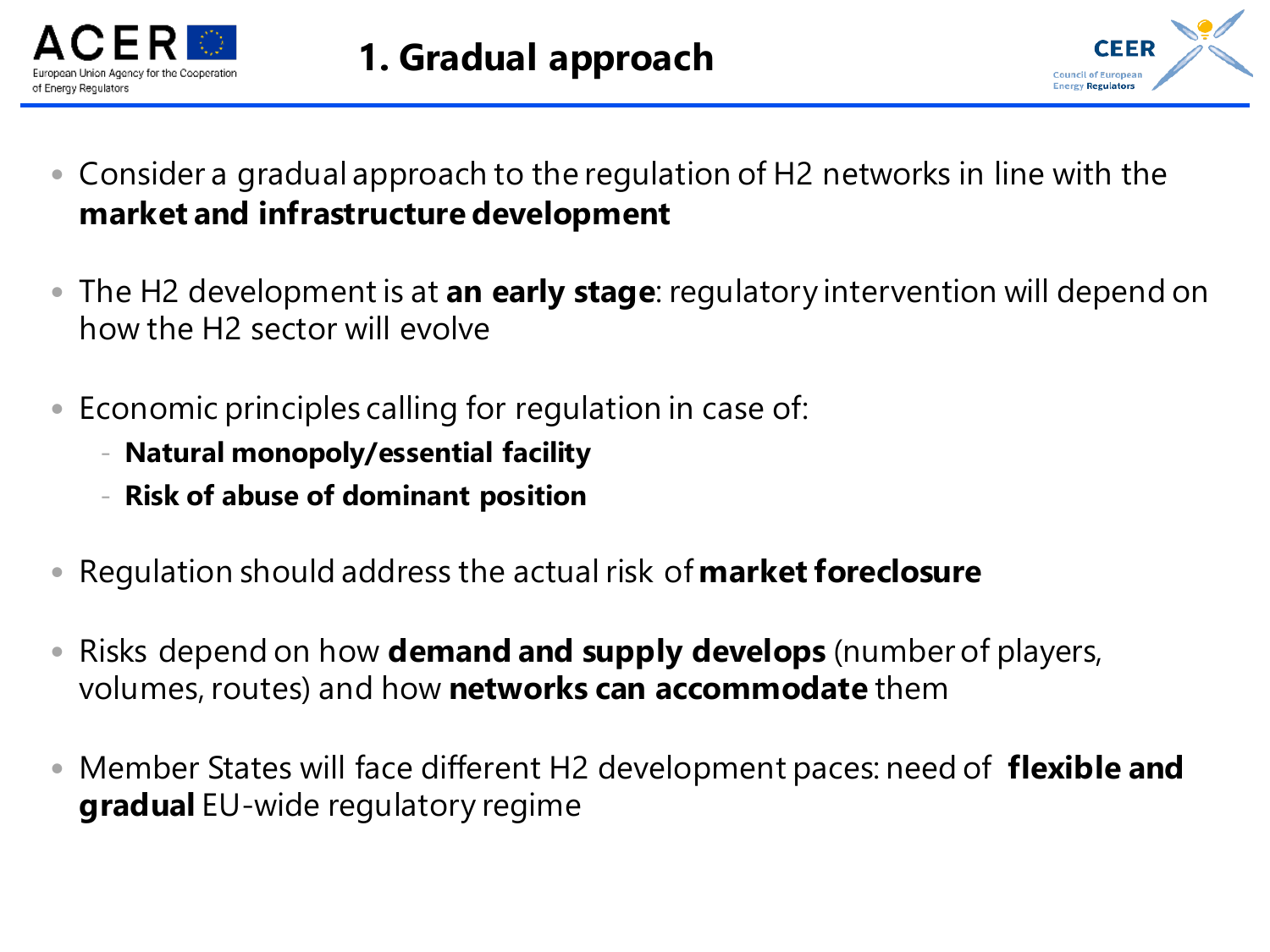



- Consider a gradual approach to the regulation of H2 networks in line with the **market and infrastructure development**
- The H2 development is at **an early stage**: regulatory intervention will depend on how the H2 sector will evolve
- Economic principles calling for regulation in case of:
	- **Natural monopoly/essential facility**
	- **Risk of abuse of dominant position**
- Regulation should address the actual risk of **market foreclosure**
- Risks depend on how **demand and supply develops** (number of players, volumes, routes) and how **networks can accommodate** them
- Member States will face different H2 development paces: need of **flexible and gradual** EU-wide regulatory regime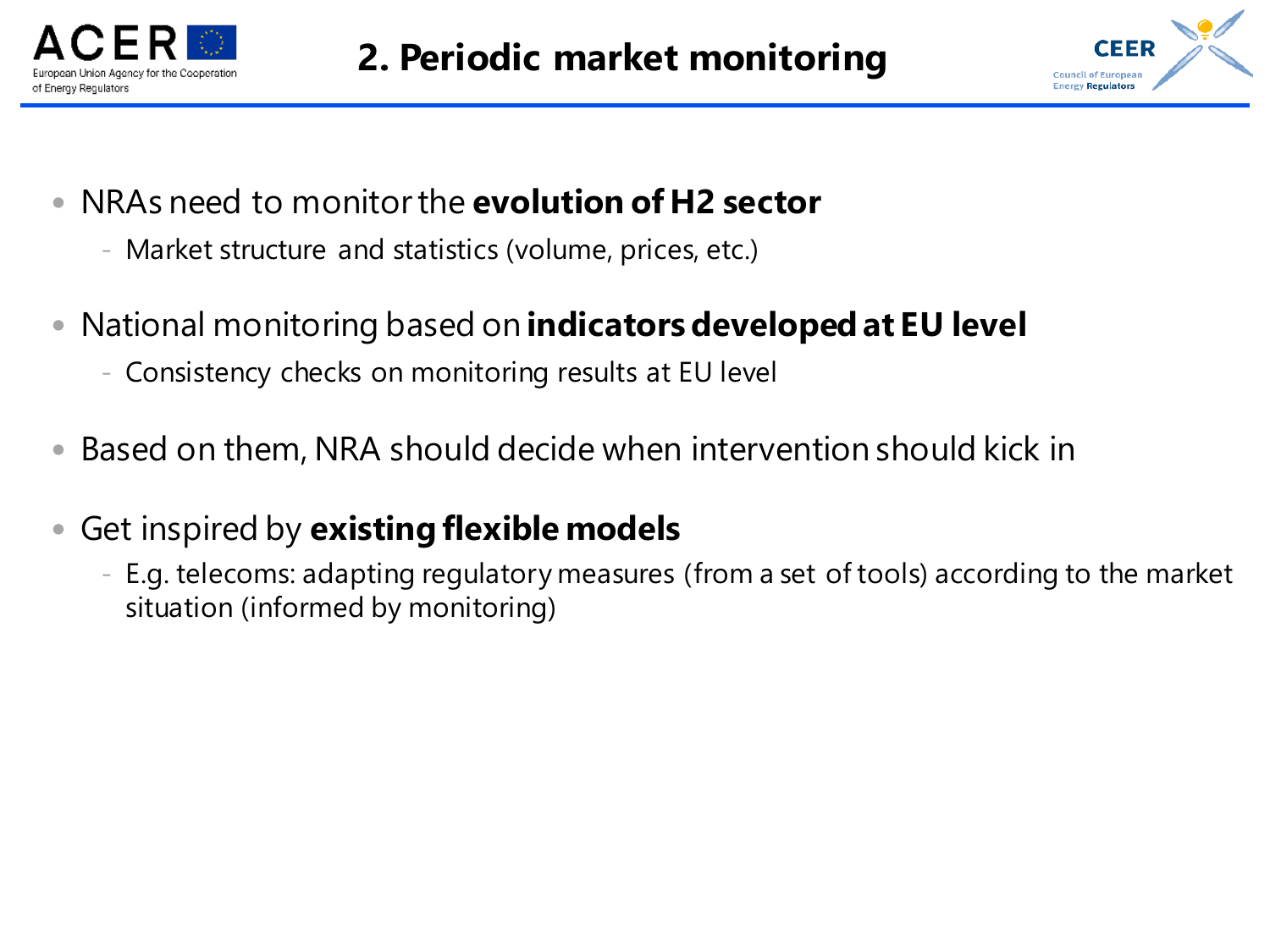



- NRAs need to monitor the **evolution of H2 sector**
	- Market structure and statistics (volume, prices, etc.)
- National monitoring based on **indicators developed at EU level**
	- Consistency checks on monitoring results at EU level
- Based on them, NRA should decide when intervention should kick in
- Get inspired by **existing flexible models**
	- E.g. telecoms: adapting regulatory measures (from a set of tools) according to the market situation (informed by monitoring)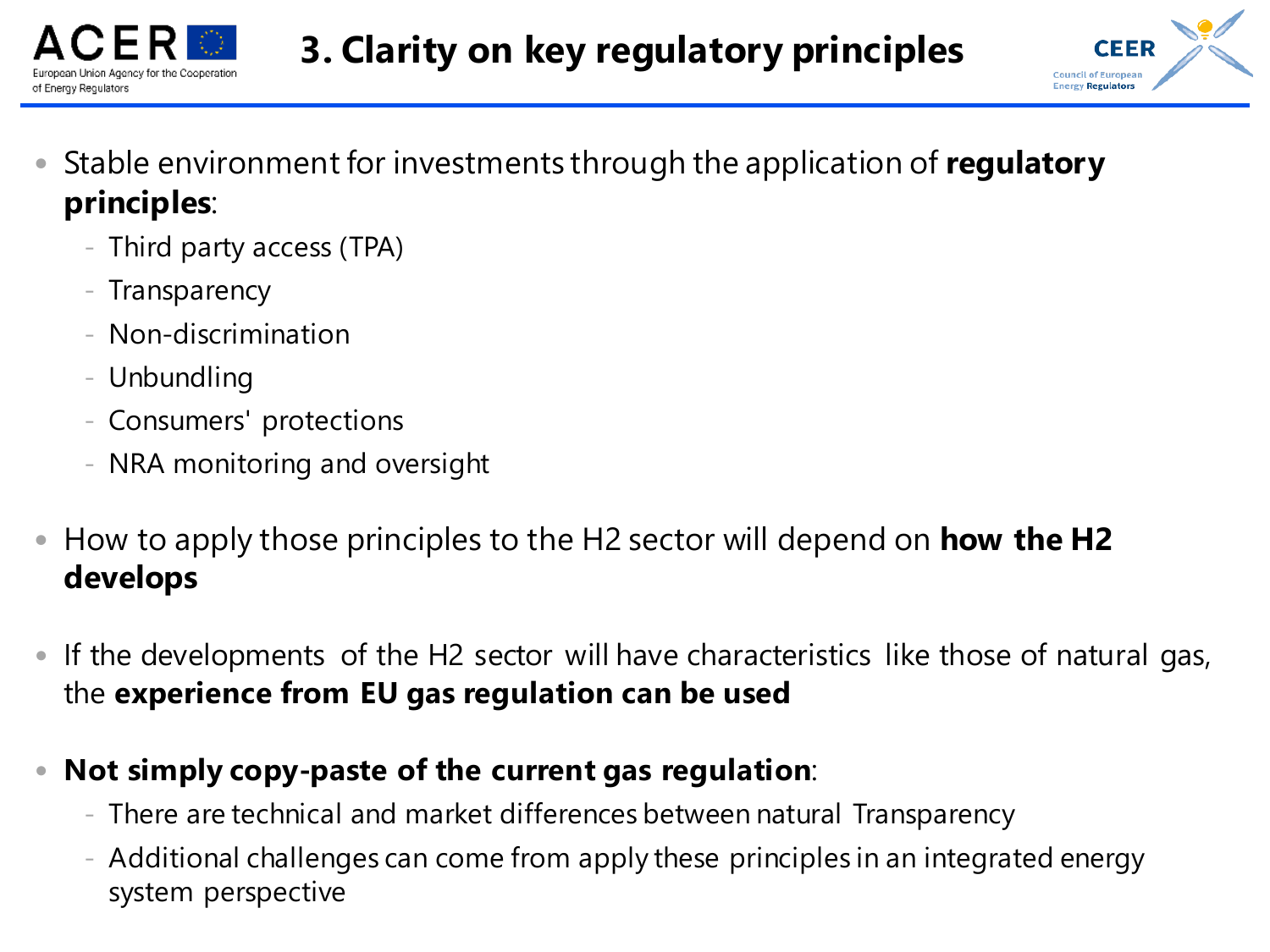



- Stable environment for investments through the application of **regulatory principles**:
	- Third party access (TPA)
	- Transparency
	- Non-discrimination
	- Unbundling
	- Consumers' protections
	- NRA monitoring and oversight
- How to apply those principles to the H2 sector will depend on **how the H2 develops**
- If the developments of the H2 sector will have characteristics like those of natural gas, the **experience from EU gas regulation can be used**
- **Not simply copy-paste of the current gas regulation**:
	- There are technical and market differences between natural Transparency
	- Additional challenges can come from apply these principles in an integrated energy system perspective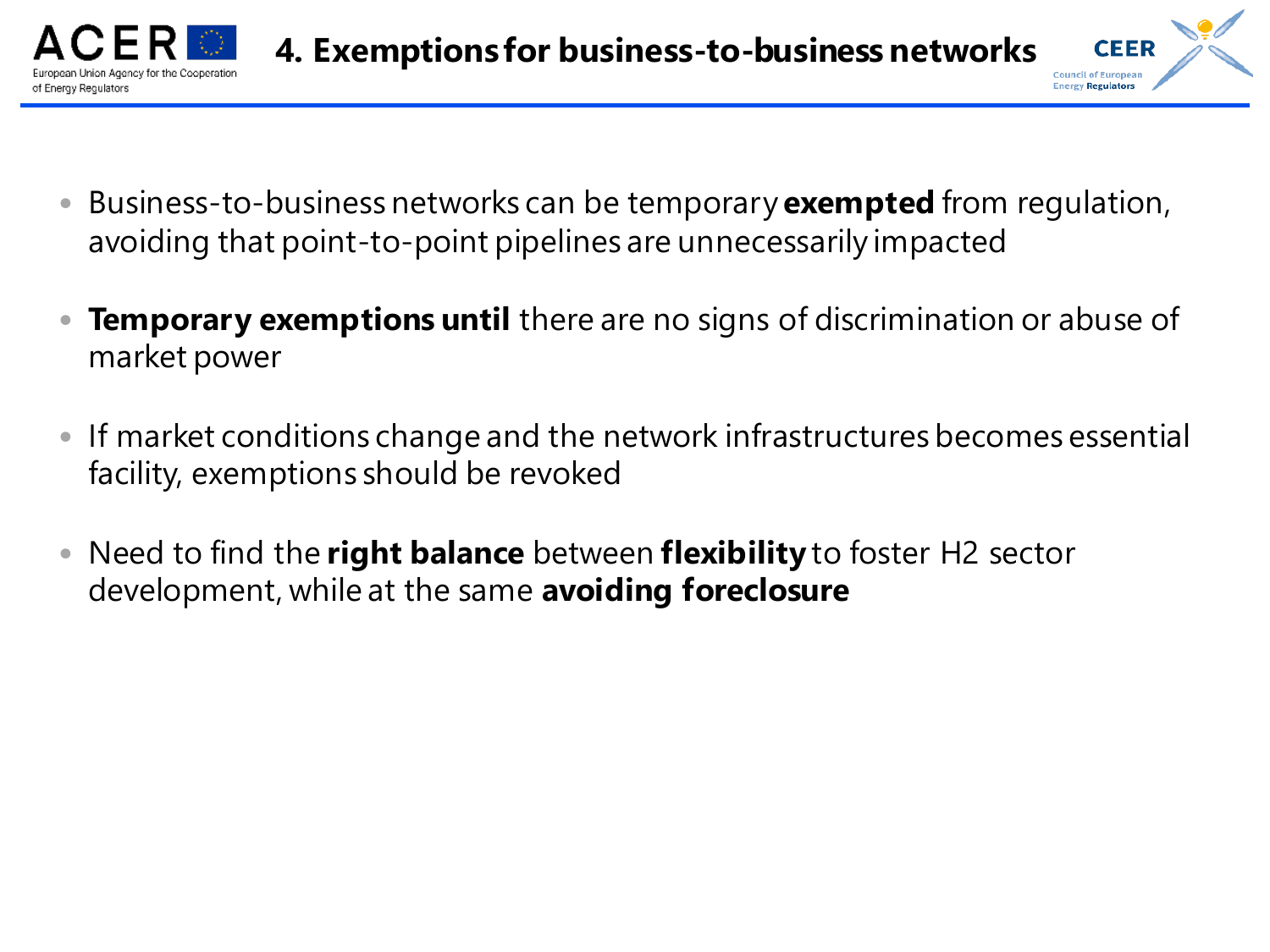

- Business-to-business networks can be temporary **exempted** from regulation, avoiding that point-to-point pipelines are unnecessarily impacted
- **Temporary exemptions until** there are no signs of discrimination or abuse of market power
- If market conditions change and the network infrastructures becomes essential facility, exemptions should be revoked
- Need to find the **right balance** between **flexibility** to foster H2 sector development, while at the same **avoiding foreclosure**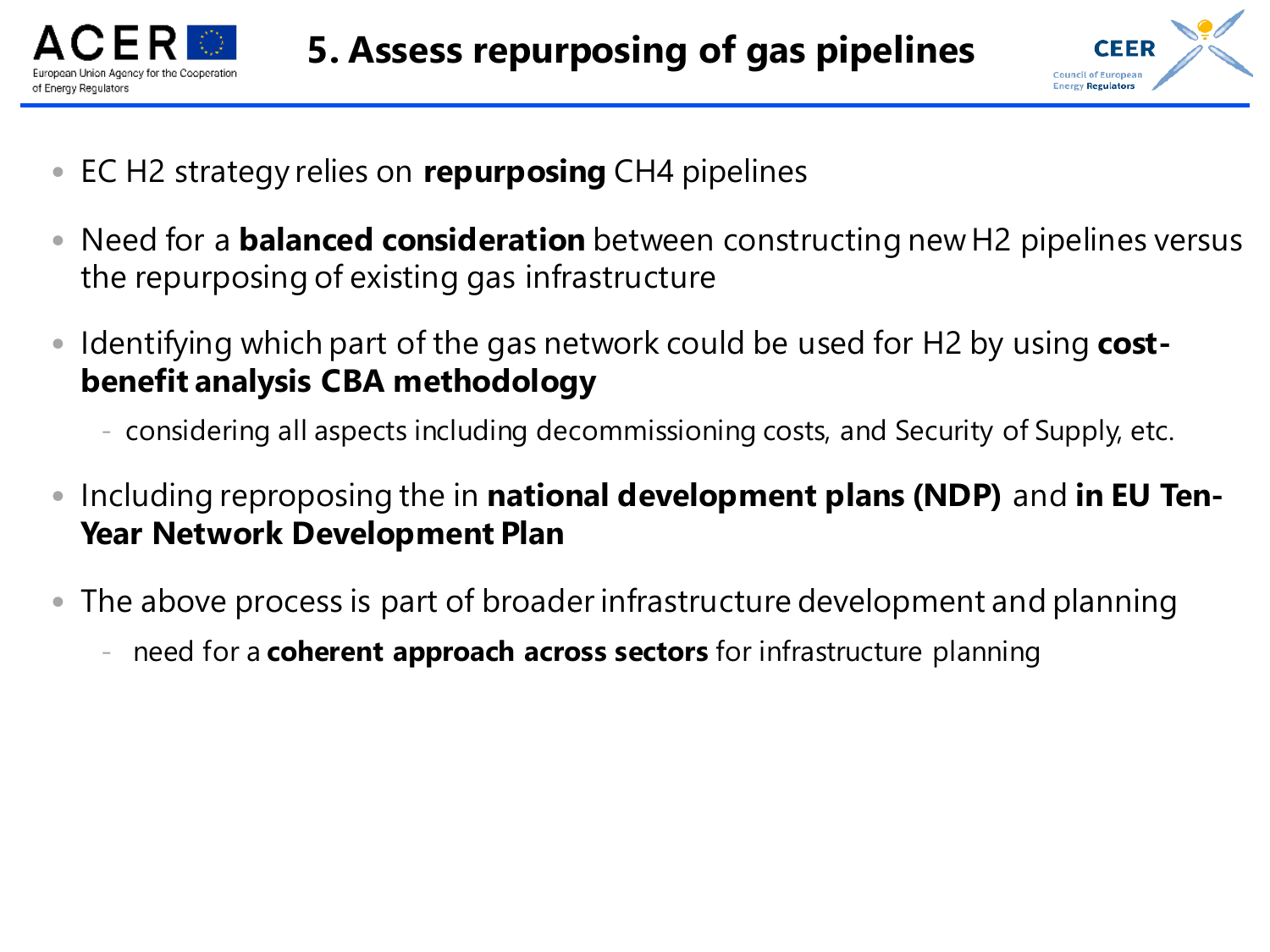



- EC H2 strategy relies on **repurposing** CH4 pipelines
- Need for a **balanced consideration** between constructing new H2 pipelines versus the repurposing of existing gas infrastructure
- Identifying which part of the gas network could be used for H2 by using **costbenefit analysis CBA methodology**
	- considering all aspects including decommissioning costs, and Security of Supply, etc.
- Including reproposing the in **national development plans (NDP)** and **in EU Ten-Year Network Development Plan**
- The above process is part of broader infrastructure development and planning
	- need for a **coherent approach across sectors** for infrastructure planning